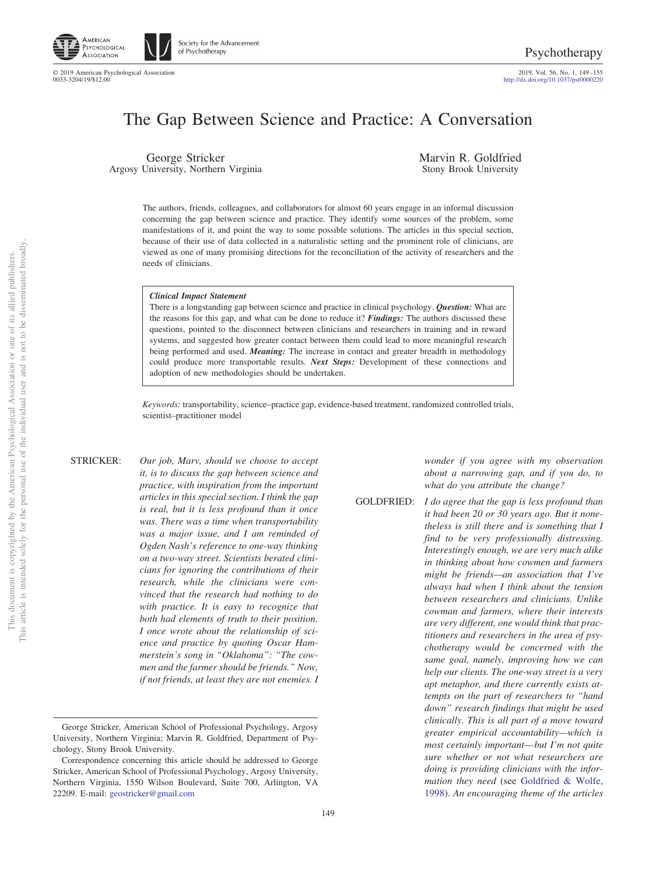

Society for the Advancement of Psychotherapy

© 2019 American Psychological Association 2019, Vol. 56, No. 1, 149 –155 http://dx.doi.org[/10.1037/pst0000220](http://dx.doi.org/10.1037/pst0000220)

# The Gap Between Science and Practice: A Conversation

George Stricker Argosy University, Northern Virginia Marvin R. Goldfried Stony Brook University

The authors, friends, colleagues, and collaborators for almost 60 years engage in an informal discussion concerning the gap between science and practice. They identify some sources of the problem, some manifestations of it, and point the way to some possible solutions. The articles in this special section, because of their use of data collected in a naturalistic setting and the prominent role of clinicians, are viewed as one of many promising directions for the reconciliation of the activity of researchers and the needs of clinicians.

### *Clinical Impact Statement*

There is a longstanding gap between science and practice in clinical psychology. *Question:* What are the reasons for this gap, and what can be done to reduce it? *Findings:* The authors discussed these questions, pointed to the disconnect between clinicians and researchers in training and in reward systems, and suggested how greater contact between them could lead to more meaningful research being performed and used. *Meaning:* The increase in contact and greater breadth in methodology could produce more transportable results. *Next Steps:* Development of these connections and adoption of new methodologies should be undertaken.

*Keywords:* transportability, science–practice gap, evidence-based treatment, randomized controlled trials, scientist–practitioner model

STRICKER: *Our job, Marv, should we choose to accept it, is to discuss the gap between science and practice, with inspiration from the important articles in this special section. I think the gap is real, but it is less profound than it once was. There was a time when transportability was a major issue, and I am reminded of Ogden Nash's reference to one-way thinking on a two-way street. Scientists berated clinicians for ignoring the contributions of their research, while the clinicians were convinced that the research had nothing to do with practice. It is easy to recognize that both had elements of truth to their position. I once wrote about the relationship of science and practice by quoting Oscar Hammerstein's song in "Oklahoma": "The cowmen and the farmer should be friends." Now, if not friends, at least they are not enemies. I* *wonder if you agree with my observation about a narrowing gap, and if you do, to what do you attribute the change?*

- 
- GOLDFRIED: *I do agree that the gap is less profound than it had been 20 or 30 years ago. But it nonetheless is still there and is something that I find to be very professionally distressing. Interestingly enough, we are very much alike in thinking about how cowmen and farmers might be friends—an association that I've always had when I think about the tension between researchers and clinicians. Unlike cowman and farmers, where their interests are very different, one would think that practitioners and researchers in the area of psychotherapy would be concerned with the same goal, namely, improving how we can help our clients. The one-way street is a very apt metaphor, and there currently exists attempts on the part of researchers to "hand down" research findings that might be used clinically. This is all part of a move toward greater empirical accountability—which is most certainly important— but I'm not quite sure whether or not what researchers are doing is providing clinicians with the information they need* (see [Goldfried & Wolfe,](#page-6-0) [1998\)](#page-6-0). *An encouraging theme of the articles*

George Stricker, American School of Professional Psychology, Argosy University, Northern Virginia; Marvin R. Goldfried, Department of Psychology, Stony Brook University.

Correspondence concerning this article should be addressed to George Stricker, American School of Professional Psychology, Argosy University, Northern Virginia, 1550 Wilson Boulevard, Suite 700, Arlington, VA 22209. E-mail: [geostricker@gmail.com](mailto:geostricker@gmail.com)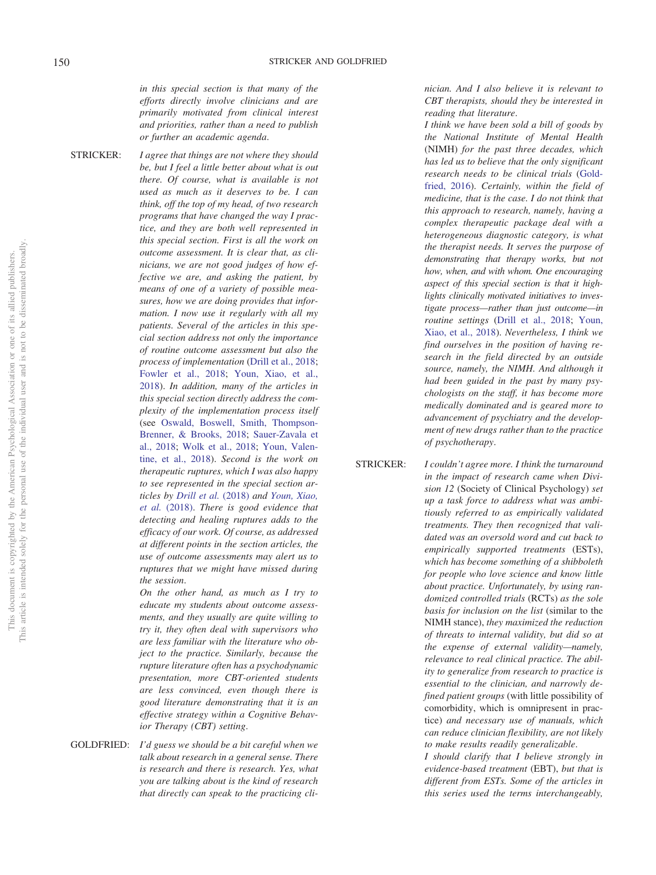*in this special section is that many of the efforts directly involve clinicians and are primarily motivated from clinical interest and priorities, rather than a need to publish or further an academic agenda*.

STRICKER: *I agree that things are not where they should be, but I feel a little better about what is out there. Of course, what is available is not used as much as it deserves to be. I can think, off the top of my head, of two research programs that have changed the way I practice, and they are both well represented in this special section. First is all the work on outcome assessment. It is clear that, as clinicians, we are not good judges of how effective we are, and asking the patient, by means of one of a variety of possible measures, how we are doing provides that information. I now use it regularly with all my patients. Several of the articles in this special section address not only the importance of routine outcome assessment but also the process of implementation* [\(Drill et al., 2018;](#page-6-1) [Fowler et al., 2018;](#page-6-2) [Youn, Xiao, et al.,](#page-6-3) [2018\)](#page-6-3). *In addition, many of the articles in this special section directly address the complexity of the implementation process itself* (see [Oswald, Boswell, Smith, Thompson-](#page-6-4)[Brenner, & Brooks, 2018;](#page-6-4) [Sauer-Zavala et](#page-6-5) [al., 2018;](#page-6-5) [Wolk et al., 2018;](#page-6-6) [Youn, Valen](#page-6-7)[tine, et al., 2018\)](#page-6-7). *Second is the work on therapeutic ruptures, which I was also happy to see represented in the special section articles by [Drill et al.](#page-6-1)* (2018) *and [Youn, Xiao,](#page-6-3) et al.* [\(2018\).](#page-6-3) *There is good evidence that detecting and healing ruptures adds to the efficacy of our work. Of course, as addressed at different points in the section articles, the use of outcome assessments may alert us to ruptures that we might have missed during the session*.

*On the other hand, as much as I try to educate my students about outcome assessments, and they usually are quite willing to try it, they often deal with supervisors who are less familiar with the literature who object to the practice. Similarly, because the rupture literature often has a psychodynamic presentation, more CBT-oriented students are less convinced, even though there is good literature demonstrating that it is an effective strategy within a Cognitive Behavior Therapy (CBT) setting*.

GOLDFRIED: *I'd guess we should be a bit careful when we talk about research in a general sense. There is research and there is research. Yes, what you are talking about is the kind of research that directly can speak to the practicing cli-* *nician. And I also believe it is relevant to CBT therapists, should they be interested in reading that literature*.

*I think we have been sold a bill of goods by the National Institute of Mental Health* (NIMH) *for the past three decades, which has led us to believe that the only significant research needs to be clinical trials* [\(Gold](#page-6-8)[fried, 2016\)](#page-6-8). *Certainly, within the field of medicine, that is the case. I do not think that this approach to research, namely, having a complex therapeutic package deal with a heterogeneous diagnostic category, is what the therapist needs. It serves the purpose of demonstrating that therapy works, but not how, when, and with whom. One encouraging aspect of this special section is that it highlights clinically motivated initiatives to investigate process—rather than just outcome—in routine settings* [\(Drill et al., 2018;](#page-6-1) [Youn,](#page-6-3) [Xiao, et al., 2018\)](#page-6-3). *Nevertheless, I think we find ourselves in the position of having research in the field directed by an outside source, namely, the NIMH. And although it had been guided in the past by many psychologists on the staff, it has become more medically dominated and is geared more to advancement of psychiatry and the development of new drugs rather than to the practice of psychotherapy*.

STRICKER: *I couldn't agree more. I think the turnaround*

*in the impact of research came when Division 12* (Society of Clinical Psychology) *set up a task force to address what was ambitiously referred to as empirically validated treatments. They then recognized that validated was an oversold word and cut back to empirically supported treatments* (ESTs), *which has become something of a shibboleth for people who love science and know little about practice. Unfortunately, by using randomized controlled trials* (RCTs) *as the sole basis for inclusion on the list* (similar to the NIMH stance), *they maximized the reduction of threats to internal validity, but did so at the expense of external validity—namely, relevance to real clinical practice. The ability to generalize from research to practice is essential to the clinician, and narrowly defined patient groups* (with little possibility of comorbidity, which is omnipresent in practice) *and necessary use of manuals, which can reduce clinician flexibility, are not likely to make results readily generalizable*.

*I should clarify that I believe strongly in evidence-based treatment* (EBT), *but that is different from ESTs. Some of the articles in this series used the terms interchangeably,*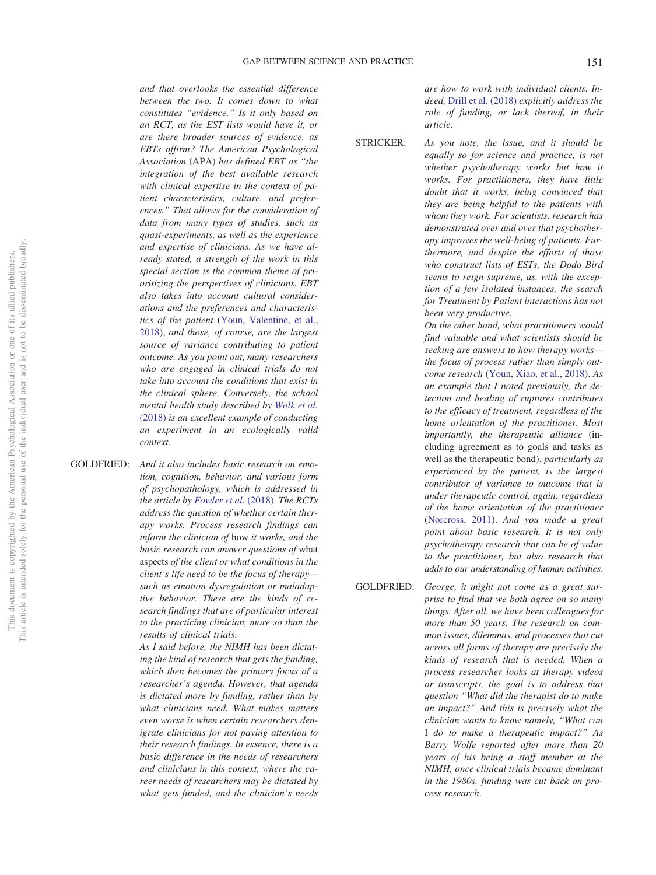*and that overlooks the essential difference between the two. It comes down to what constitutes "evidence." Is it only based on an RCT, as the EST lists would have it, or are there broader sources of evidence, as EBTs affirm? The American Psychological Association* (APA) *has defined EBT as "the integration of the best available research with clinical expertise in the context of patient characteristics, culture, and preferences." That allows for the consideration of data from many types of studies, such as quasi-experiments, as well as the experience and expertise of clinicians. As we have already stated, a strength of the work in this special section is the common theme of prioritizing the perspectives of clinicians. EBT also takes into account cultural considerations and the preferences and characteristics of the patient* [\(Youn, Valentine, et al.,](#page-6-7) [2018\)](#page-6-7), *and those, of course, are the largest source of variance contributing to patient outcome. As you point out, many researchers who are engaged in clinical trials do not take into account the conditions that exist in the clinical sphere. Conversely, the school mental health study described by [Wolk et al.](#page-6-6)* [\(2018\)](#page-6-6) *is an excellent example of conducting an experiment in an ecologically valid context*.

GOLDFRIED: *And it also includes basic research on emotion, cognition, behavior, and various form of psychopathology, which is addressed in the article by [Fowler et al.](#page-6-2)* (2018). *The RCTs address the question of whether certain therapy works. Process research findings can inform the clinician of* how *it works, and the basic research can answer questions of* what aspects *of the client or what conditions in the client's life need to be the focus of therapy such as emotion dysregulation or maladaptive behavior. These are the kinds of research findings that are of particular interest to the practicing clinician, more so than the results of clinical trials*.

> *As I said before, the NIMH has been dictating the kind of research that gets the funding, which then becomes the primary focus of a researcher's agenda. However, that agenda is dictated more by funding, rather than by what clinicians need. What makes matters even worse is when certain researchers denigrate clinicians for not paying attention to their research findings. In essence, there is a basic difference in the needs of researchers and clinicians in this context, where the career needs of researchers may be dictated by what gets funded, and the clinician's needs*

*are how to work with individual clients. Indeed,* [Drill et al. \(2018\)](#page-6-1) *explicitly address the role of funding, or lack thereof, in their article*.

STRICKER: *As you note, the issue, and it should be equally so for science and practice, is not*

*whether psychotherapy works but how it works. For practitioners, they have little doubt that it works, being convinced that they are being helpful to the patients with whom they work. For scientists, research has demonstrated over and over that psychotherapy improves the well-being of patients. Furthermore, and despite the efforts of those who construct lists of ESTs, the Dodo Bird seems to reign supreme, as, with the exception of a few isolated instances, the search for Treatment by Patient interactions has not been very productive*.

*On the other hand, what practitioners would find valuable and what scientists should be seeking are answers to how therapy works the focus of process rather than simply outcome research* [\(Youn, Xiao, et al., 2018\)](#page-6-3). *As an example that I noted previously, the detection and healing of ruptures contributes to the efficacy of treatment, regardless of the home orientation of the practitioner. Most importantly, the therapeutic alliance* (including agreement as to goals and tasks as well as the therapeutic bond), *particularly as experienced by the patient, is the largest contributor of variance to outcome that is under therapeutic control, again, regardless of the home orientation of the practitioner* [\(Norcross, 2011\)](#page-6-9). *And you made a great point about basic research. It is not only psychotherapy research that can be of value to the practitioner, but also research that adds to our understanding of human activities*.

GOLDFRIED: *George, it might not come as a great surprise to find that we both agree on so many things. After all, we have been colleagues for more than 50 years. The research on common issues, dilemmas, and processes that cut across all forms of therapy are precisely the kinds of research that is needed. When a process researcher looks at therapy videos or transcripts, the goal is to address that question "What did the therapist do to make an impact?" And this is precisely what the clinician wants to know namely, "What can* I *do to make a therapeutic impact?" As Barry Wolfe reported after more than 20 years of his being a staff member at the NIMH, once clinical trials became dominant in the 1980s, funding was cut back on process research*.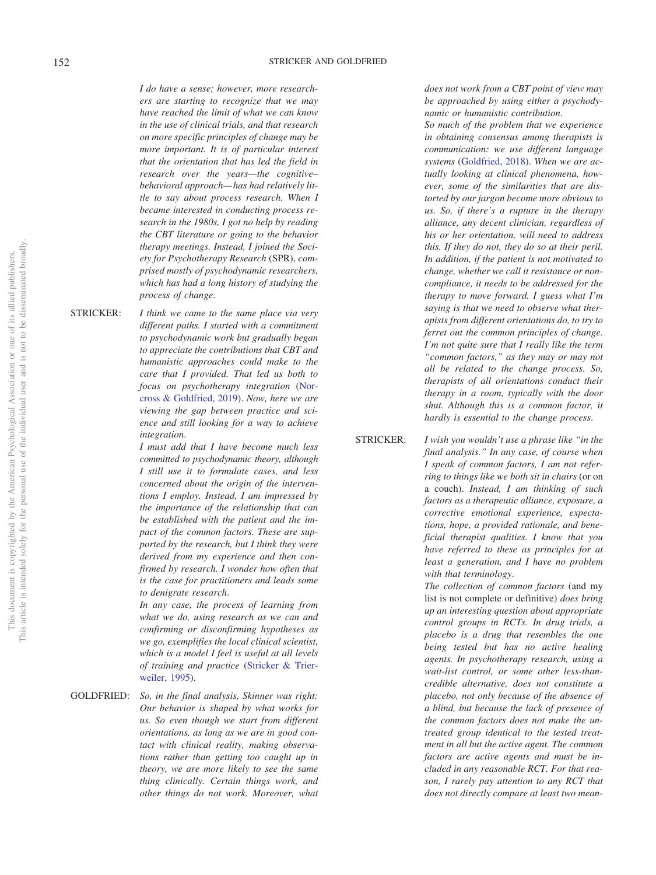# 152 STRICKER AND GOLDFRIED

*I do have a sense; however, more researchers are starting to recognize that we may have reached the limit of what we can know in the use of clinical trials, and that research on more specific principles of change may be more important. It is of particular interest that the orientation that has led the field in research over the years—the cognitive– behavioral approach— has had relatively little to say about process research. When I became interested in conducting process research in the 1980s, I got no help by reading the CBT literature or going to the behavior therapy meetings. Instead, I joined the Society for Psychotherapy Research* (SPR), *comprised mostly of psychodynamic researchers, which has had a long history of studying the process of change*.

STRICKER: *I think we came to the same place via very different paths. I started with a commitment to psychodynamic work but gradually began to appreciate the contributions that CBT and humanistic approaches could make to the care that I provided. That led us both to focus on psychotherapy integration* [\(Nor](#page-6-10)[cross & Goldfried, 2019\)](#page-6-10). *Now, here we are viewing the gap between practice and science and still looking for a way to achieve integration*.

> *I must add that I have become much less committed to psychodynamic theory, although I still use it to formulate cases, and less concerned about the origin of the interventions I employ. Instead, I am impressed by the importance of the relationship that can be established with the patient and the impact of the common factors. These are supported by the research, but I think they were derived from my experience and then confirmed by research. I wonder how often that is the case for practitioners and leads some to denigrate research*.

> *In any case, the process of learning from what we do, using research as we can and confirming or disconfirming hypotheses as we go, exemplifies the local clinical scientist, which is a model I feel is useful at all levels of training and practice* [\(Stricker & Trier](#page-6-11)[weiler, 1995\)](#page-6-11).

GOLDFRIED: *So, in the final analysis, Skinner was right: Our behavior is shaped by what works for us. So even though we start from different orientations, as long as we are in good contact with clinical reality, making observations rather than getting too caught up in theory, we are more likely to see the same thing clinically. Certain things work, and other things do not work. Moreover, what*

*does not work from a CBT point of view may be approached by using either a psychodynamic or humanistic contribution*.

*So much of the problem that we experience in obtaining consensus among therapists is communication: we use different language systems* [\(Goldfried, 2018\)](#page-6-12). *When we are actually looking at clinical phenomena, however, some of the similarities that are distorted by our jargon become more obvious to us. So, if there's a rupture in the therapy alliance, any decent clinician, regardless of his or her orientation, will need to address this. If they do not, they do so at their peril. In addition, if the patient is not motivated to change, whether we call it resistance or noncompliance, it needs to be addressed for the therapy to move forward. I guess what I'm saying is that we need to observe what therapists from different orientations do, to try to ferret out the common principles of change. I'm not quite sure that I really like the term "common factors," as they may or may not all be related to the change process. So, therapists of all orientations conduct their therapy in a room, typically with the door shut. Although this is a common factor, it hardly is essential to the change process*.

STRICKER: *I wish you wouldn't use a phrase like "in the final analysis." In any case, of course when I speak of common factors, I am not referring to things like we both sit in chairs* (or on a couch). *Instead, I am thinking of such factors as a therapeutic alliance, exposure, a corrective emotional experience, expectations, hope, a provided rationale, and beneficial therapist qualities. I know that you have referred to these as principles for at least a generation, and I have no problem with that terminology*.

> *The collection of common factors* (and my list is not complete or definitive) *does bring up an interesting question about appropriate control groups in RCTs. In drug trials, a placebo is a drug that resembles the one being tested but has no active healing agents. In psychotherapy research, using a wait-list control, or some other less-thancredible alternative, does not constitute a placebo, not only because of the absence of a blind, but because the lack of presence of the common factors does not make the untreated group identical to the tested treatment in all but the active agent. The common factors are active agents and must be included in any reasonable RCT. For that reason, I rarely pay attention to any RCT that does not directly compare at least two mean-*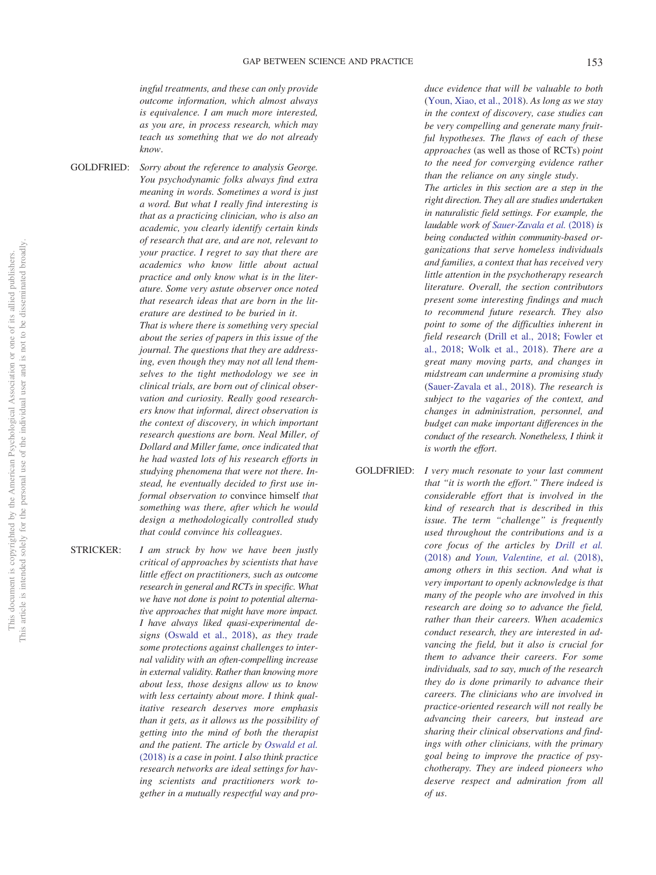*ingful treatments, and these can only provide outcome information, which almost always is equivalence. I am much more interested, as you are, in process research, which may teach us something that we do not already know*.

GOLDFRIED: *Sorry about the reference to analysis George.*

*You psychodynamic folks always find extra meaning in words. Sometimes a word is just a word. But what I really find interesting is that as a practicing clinician, who is also an academic, you clearly identify certain kinds of research that are, and are not, relevant to your practice. I regret to say that there are academics who know little about actual practice and only know what is in the literature. Some very astute observer once noted that research ideas that are born in the literature are destined to be buried in it*. *That is where there is something very special about the series of papers in this issue of the journal. The questions that they are addressing, even though they may not all lend themselves to the tight methodology we see in clinical trials, are born out of clinical observation and curiosity. Really good research-*

*ers know that informal, direct observation is the context of discovery, in which important research questions are born. Neal Miller, of Dollard and Miller fame, once indicated that he had wasted lots of his research efforts in studying phenomena that were not there. Instead, he eventually decided to first use informal observation to* convince himself *that something was there, after which he would design a methodologically controlled study that could convince his colleagues*.

STRICKER: *I am struck by how we have been justly critical of approaches by scientists that have little effect on practitioners, such as outcome research in general and RCTs in specific. What we have not done is point to potential alternative approaches that might have more impact. I have always liked quasi-experimental designs* [\(Oswald et al., 2018\)](#page-6-4), *as they trade some protections against challenges to internal validity with an often-compelling increase in external validity. Rather than knowing more about less, those designs allow us to know with less certainty about more. I think qualitative research deserves more emphasis than it gets, as it allows us the possibility of getting into the mind of both the therapist and the patient. The article by [Oswald et al.](#page-6-4)* [\(2018\)](#page-6-4) *is a case in point. I also think practice research networks are ideal settings for having scientists and practitioners work together in a mutually respectful way and pro-*

*duce evidence that will be valuable to both* [\(Youn, Xiao, et al., 2018\)](#page-6-3). *As long as we stay in the context of discovery, case studies can be very compelling and generate many fruitful hypotheses. The flaws of each of these approaches* (as well as those of RCTs) *point to the need for converging evidence rather than the reliance on any single study*.

*The articles in this section are a step in the right direction. They all are studies undertaken in naturalistic field settings. For example, the laudable work of [Sauer-Zavala et al.](#page-6-5)* (2018) *is being conducted within community-based organizations that serve homeless individuals and families, a context that has received very little attention in the psychotherapy research literature. Overall, the section contributors present some interesting findings and much to recommend future research. They also point to some of the difficulties inherent in field research* [\(Drill et al., 2018;](#page-6-1) [Fowler et](#page-6-2) [al., 2018;](#page-6-2) [Wolk et al., 2018\)](#page-6-6). *There are a great many moving parts, and changes in midstream can undermine a promising study* [\(Sauer-Zavala et al., 2018\)](#page-6-5). *The research is subject to the vagaries of the context, and changes in administration, personnel, and budget can make important differences in the conduct of the research. Nonetheless, I think it is worth the effort*.

GOLDFRIED: *I very much resonate to your last comment that "it is worth the effort." There indeed is considerable effort that is involved in the kind of research that is described in this issue. The term "challenge" is frequently used throughout the contributions and is a core focus of the articles by [Drill et al.](#page-6-1)* [\(2018\)](#page-6-1) *and [Youn, Valentine, et al.](#page-6-7)* (2018), *among others in this section. And what is very important to openly acknowledge is that many of the people who are involved in this research are doing so to advance the field, rather than their careers. When academics conduct research, they are interested in advancing the field, but it also is crucial for them to advance their careers*. *For some individuals, sad to say, much of the research they do is done primarily to advance their careers. The clinicians who are involved in practice-oriented research will not really be advancing their careers, but instead are sharing their clinical observations and findings with other clinicians, with the primary goal being to improve the practice of psychotherapy. They are indeed pioneers who deserve respect and admiration from all of us*.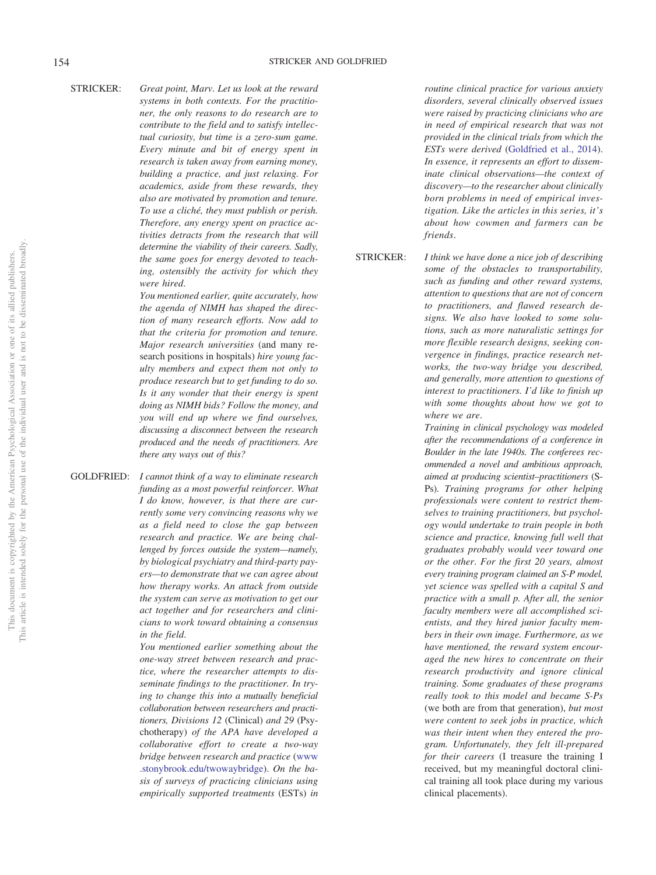### 154 STRICKER AND GOLDFRIED

# STRICKER: *Great point, Marv. Let us look at the reward*

*systems in both contexts. For the practitioner, the only reasons to do research are to contribute to the field and to satisfy intellectual curiosity, but time is a zero-sum game. Every minute and bit of energy spent in research is taken away from earning money, building a practice, and just relaxing. For academics, aside from these rewards, they also are motivated by promotion and tenure. To use a cliché, they must publish or perish. Therefore, any energy spent on practice activities detracts from the research that will determine the viability of their careers. Sadly, the same goes for energy devoted to teaching, ostensibly the activity for which they were hired*.

> *You mentioned earlier, quite accurately, how the agenda of NIMH has shaped the direction of many research efforts. Now add to that the criteria for promotion and tenure. Major research universities* (and many research positions in hospitals) *hire young faculty members and expect them not only to produce research but to get funding to do so. Is it any wonder that their energy is spent doing as NIMH bids? Follow the money, and you will end up where we find ourselves, discussing a disconnect between the research produced and the needs of practitioners. Are there any ways out of this?*

GOLDFRIED: *I cannot think of a way to eliminate research funding as a most powerful reinforcer. What I do know, however, is that there are currently some very convincing reasons why we as a field need to close the gap between research and practice. We are being challenged by forces outside the system—namely, by biological psychiatry and third-party payers—to demonstrate that we can agree about how therapy works. An attack from outside the system can serve as motivation to get our act together and for researchers and clinicians to work toward obtaining a consensus in the field*.

> *You mentioned earlier something about the one-way street between research and practice, where the researcher attempts to disseminate findings to the practitioner. In trying to change this into a mutually beneficial collaboration between researchers and practitioners, Divisions 12* (Clinical) *and 29* (Psychotherapy) *of the APA have developed a collaborative effort to create a two-way bridge between research and practice* [\(www](http://www.stonybrook.edu/twowaybridge) [.stonybrook.edu/twowaybridge\)](http://www.stonybrook.edu/twowaybridge). *On the basis of surveys of practicing clinicians using empirically supported treatments* (ESTs) *in*

*routine clinical practice for various anxiety disorders, several clinically observed issues were raised by practicing clinicians who are in need of empirical research that was not provided in the clinical trials from which the ESTs were derived* [\(Goldfried et al., 2014\)](#page-6-13). *In essence, it represents an effort to disseminate clinical observations—the context of discovery—to the researcher about clinically born problems in need of empirical investigation. Like the articles in this series, it's about how cowmen and farmers can be friends*.

STRICKER: *I think we have done a nice job of describing some of the obstacles to transportability, such as funding and other reward systems, attention to questions that are not of concern to practitioners, and flawed research designs. We also have looked to some solutions, such as more naturalistic settings for more flexible research designs, seeking convergence in findings, practice research networks, the two-way bridge you described, and generally, more attention to questions of interest to practitioners. I'd like to finish up with some thoughts about how we got to where we are*.

> *Training in clinical psychology was modeled after the recommendations of a conference in Boulder in the late 1940s. The conferees recommended a novel and ambitious approach, aimed at producing scientist–practitioners* (S-Ps). *Training programs for other helping professionals were content to restrict themselves to training practitioners, but psychology would undertake to train people in both science and practice, knowing full well that graduates probably would veer toward one or the other*. *For the first 20 years, almost every training program claimed an S-P model, yet science was spelled with a capital S and practice with a small p. After all, the senior faculty members were all accomplished scientists, and they hired junior faculty members in their own image. Furthermore, as we have mentioned, the reward system encouraged the new hires to concentrate on their research productivity and ignore clinical training. Some graduates of these programs really took to this model and became S-Ps* (we both are from that generation), *but most were content to seek jobs in practice, which was their intent when they entered the program. Unfortunately, they felt ill-prepared for their careers* (I treasure the training I received, but my meaningful doctoral clinical training all took place during my various clinical placements).